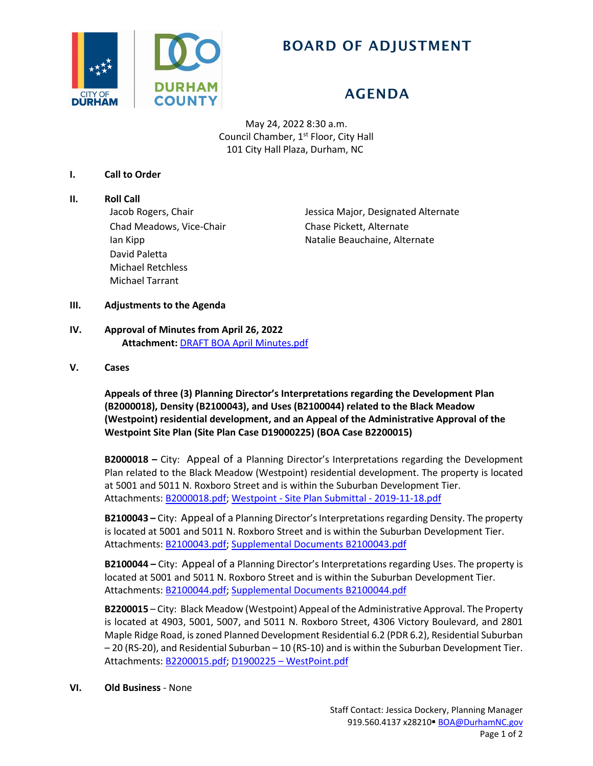

## BOARD OF ADJUSTMENT

# AGENDA

May 24, 2022 8:30 a.m. Council Chamber, 1<sup>st</sup> Floor, City Hall 101 City Hall Plaza, Durham, NC

#### **I. Call to Order**

**II. Roll Call** Chad Meadows, Vice-Chair Chase Pickett, Alternate David Paletta Michael Retchless Michael Tarrant

Jacob Rogers, Chair **Jessica Major, Designated Alternate** Ian Kipp **Natalie Beauchaine, Alternate** 

### **III. Adjustments to the Agenda**

## **IV. Approval of Minutes from April 26, 2022 Attachment:** [DRAFT BOA April](https://www.durhamnc.gov/DocumentCenter/View/44348/DRAFT-BOA-April-Minutes) Minutes.pdf

#### **V. Cases**

**Appeals of three (3) Planning Director's Interpretations regarding the Development Plan (B2000018), Density (B2100043), and Uses (B2100044) related to the Black Meadow (Westpoint) residential development, and an Appeal of the Administrative Approval of the Westpoint Site Plan (Site Plan Case D19000225) (BOA Case B2200015)**

**B2000018 –** City: Appeal of a Planning Director's Interpretations regarding the Development Plan related to the Black Meadow (Westpoint) residential development. The property is located at 5001 and 5011 N. Roxboro Street and is within the Suburban Development Tier. Attachments: [B2000018.pdf;](https://www.durhamnc.gov/DocumentCenter/View/44346/B2000018) Westpoint - [Site Plan Submittal -](https://www.durhamnc.gov/DocumentCenter/View/44345/Westpoint---Site-Plan-Submittal---2019-11-18) 2019-11-18.pdf

**B2100043 –** City: Appeal of a Planning Director's Interpretations regarding Density. The property is located at 5001 and 5011 N. Roxboro Street and is within the Suburban Development Tier. Attachments: [B2100043.pdf;](https://www.durhamnc.gov/DocumentCenter/View/44342/B2100043) [Supplemental Documents B2100043.pdf](https://www.durhamnc.gov/DocumentCenter/View/44423/Supplemental-Documents-B2100043)

**B2100044 –** City: Appeal of a Planning Director's Interpretations regarding Uses. The property is located at 5001 and 5011 N. Roxboro Street and is within the Suburban Development Tier. Attachments: [B2100044.pdf;](https://www.durhamnc.gov/DocumentCenter/View/44343/B2100044) [Supplemental Documents B2100044.pdf](https://www.durhamnc.gov/DocumentCenter/View/44424/Supplemental-Documents-B2100044)

**B2200015** – City: Black Meadow (Westpoint) Appeal of the Administrative Approval. The Property is located at 4903, 5001, 5007, and 5011 N. Roxboro Street, 4306 Victory Boulevard, and 2801 Maple Ridge Road, is zoned Planned Development Residential 6.2 (PDR 6.2), Residential Suburban – 20 (RS-20), and Residential Suburban – 10 (RS-10) and is within the Suburban Development Tier. Attachments: [B2200015.pdf;](https://www.durhamnc.gov/DocumentCenter/View/44344/B2200015) D1900225 – [WestPoint.pdf](https://www.durhamnc.gov/DocumentCenter/View/44347/D1900225---WestPoint---Approved)

#### **VI. Old Business** - None